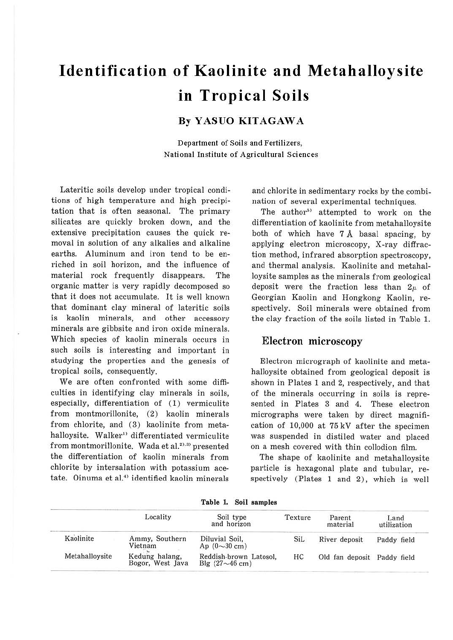# **Identification of Kaolinite and Metahalloysite in Tropical Soils**

## **By YASUO KITAGAWA**

Department of Soils and Fertilizers, National Institute of Agricultural Sciences

Lateritic soils develop under tropical conditions of high temperature and high precipitation that is often seasonal. The primary silicates are quickly broken down, and the extensive precipitation causes the quick removal in solution of any alkalies and alkaline earths. Aluminum and iron tend to be enriched in soil horizon, and the influence of material rock frequently disappears. The organic matter is very rapidly decomposed so that it does not accumulate. It is well known that dominant clay mineral of lateritic soils is kaolin minerals, and other accessory minerals are gibbsite and iron oxide minerals. Which species of kaolin minerals occurs in such soils is interesting and important in studying the properties and the genesis of tropical soils, consequently.

We are often confronted with some difficulties in identifying clay minerals in soils, especially, differentiation of (1) vermiculite from montmorillonite, (2) kaolin minerals from chlorite, and (3) kaolinite from metahalloysite. Walker<sup>1)</sup> differentiated vermiculite from montmorillonite. Wada et al.<sup>2),3)</sup> presented the differentiation of kaolin minerals from chlorite by intersalation with potassium acetate. Oinuma et al.<sup>4)</sup> identified kaolin minerals

and chlorite in sedimentary rocks by the combination of several experimental techniques.

The author<sup>5</sup> attempted to work on the differentiation of kaolinite from metahalloysite both of which have  $7 \text{ Å}$  basal spacing, by applying electron microscopy, X-ray diffraction method, infrared absorption spectroscopy, and thermal analysis. Kaolinite and metahalloysite samples as the minerals from geological deposit were the fraction less than  $2\mu$  of Georgian Kaolin and Hongkong Kaolin, respectively. Soil minerals were obtained from the clay fraction of the soils listed in Table 1.

#### Electron microscopy

Electron micrograph of kaolinite and metahalloysite obtained from geological deposit is shown in Plates 1 and 2, respectively, and that of the minerals occurring in soils is represented in Plates 3 and 4. These electron micrographs were taken by direct magnification of 10,000 at 75 kV after the specimen was suspended in distiled water and placed on a mesh covered with thin collodion film.

The shape of kaolinite and metahalloysite particle is hexagonal plate and tubular, respectively (Plates 1 and 2), which is well

|                | Locality                           | Soil type<br>and horizon                                | Texture | Parent<br>material          | Land<br>utilization |
|----------------|------------------------------------|---------------------------------------------------------|---------|-----------------------------|---------------------|
| Kaolinite      | Ammy, Southern<br>Vietnam          | Diluvial Soil.<br>Ap $(0\sim 30 \text{ cm})$            | SiL     | River deposit               | Paddy field         |
| Metahalloysite | Kedung halang,<br>Bogor, West Java | Reddish-brown Latosol.<br>Blg $(27{\sim}46 \text{ cm})$ | HС      | Old fan deposit Paddy field |                     |

**Table 1. Soil samples**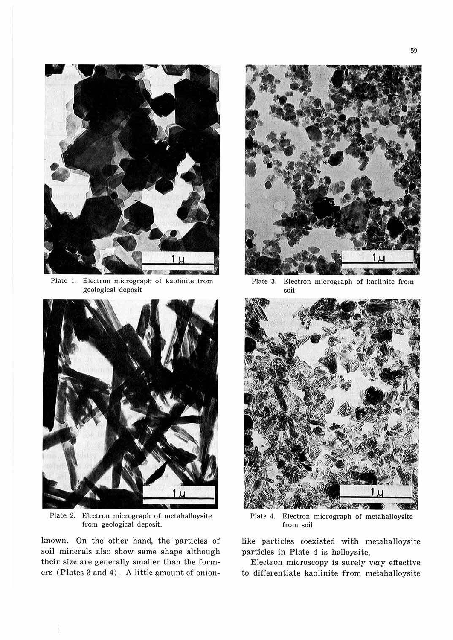

Plate 1. Electron micrograph of kaolinite from geological deposit



Plate 2. Electron micrograph of metahalloysite from geological deposit.

known. On the other hand, the particles of soil minerals also show same shape although their size are generally smaller than the formers (Plates 3 and 4). A little amount of onion-



Plate 3. Electron micrograph of kaolinite from soil



Plate 4. Electron micrograph of metahalloysite from soil

like particles coexisted with metahalloysite particles in Plate 4 is halloysite.

Electron microscopy is surely very effective to differentiate kaolinite from metahalloysite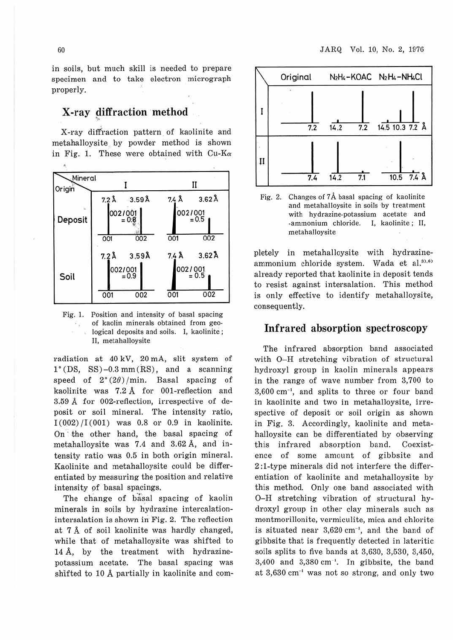in soils, but much skill is needed to prepare specimen and to take electron micrograph properly.

### X-ray diffraction method

X-ray diffraction pattern of kaolinite and metahalloysite by powder method is shown in Fig. 1. These were obtained with  $Cu-K\alpha$ 



Fig. 1. Position and intensity of basal spacing of kaolin minerals obtained from geo-작군 logical deposits and soils. I, kaolinite; II, metahalloysite

radiation at 40 kV, 20 mA, slit system of  $1^{\circ}$ (DS, SS)-0.3 mm(RS), and a scanning speed of  $2^{\circ}(2\theta)/\text{min}$ . Basal spacing of kaolinite was 7.2 A for 001-reflection and 3.59 A for 002-reflection, irrespective of deposit or soil mineral. The intensity ratio,  $I(002)/I(001)$  was 0.8 or 0.9 in kaolinite. On the other hand, the basal spacing of metahalloysite was 7.4 and 3.62 A, and intensity ratio was 0.5 in both origin mineral. Kaolinite and metahalloysite could be differentiated by measuring the position and relative intensity pf basal spacings.

The change of basal spacing of kaolin minerals in soils by hydrazine intercalationintersalation is shown in Fig. 2. The reflection at 7 A of soil kaolinite was hardly changed, while that of metahalloysite was shifted to 14 A, by the treatment with hydrazinepotassium acetate. The basal spacing was shifted to 10 A partially in kaolinite and com-



Fig. 2. Changes of  $7\text{\AA}$  basal spacing of kaolinite and metahalloysite in soils by treatment with hydrazine-potassium acetate and -ammonium chloride. I, kaolinite ; II, metahalloysite

pletely in metahalloysite with hydrazineammonium chloride system. Wada et al. $37,67$ already reported that kaolinite in deposit tends to resist against intersalation. This method is only effective to identify metahalloysite, consequently.

#### Infrared absorption spectroscopy

The infrared absorption band associated with O-H stretching vibration of structural hydroxyl group in kaolin minerals appears in the range of wave number from 3,700 to 3,600 cm·1, and splits to three or four band in kaolinite and two in metahalloysite, irrespective of deposit or soil origin as shown in Fig. 3. Accordingly, kaolinite and metahalloysite can be differentiated by observing this infrared absorption band. Coexistence of some amount of gibbsite and 2 :1-type minerals did not interfere the differentiation of kaolinite and metahalloysite by this method. Only one band associated with 0 -H stretching vibration of structural hydroxyl group in other clay minerals such as montmorillonite, vermiculite, mica and chlorite is situated near 3,620 cm<sup>-1</sup>, and the band of gibbsite that is frequently detected in Jateritic soils splits to five bands at 3,630, 3,530, 3,450,  $3,400$  and  $3,380$  cm<sup>-1</sup>. In gibbsite, the band at  $3,630$  cm<sup>-1</sup> was not so strong, and only two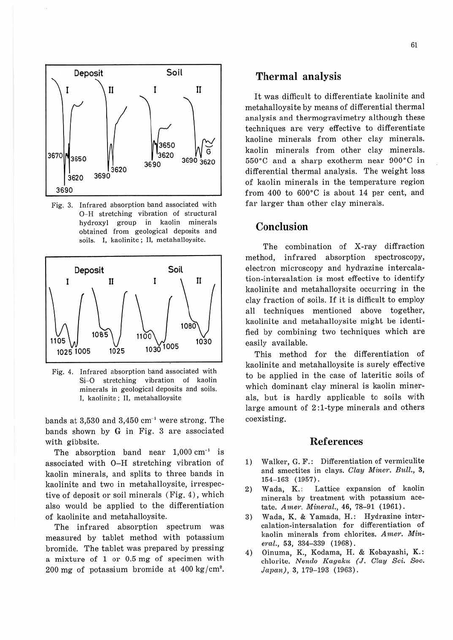

Fig. 3. Infrared absorption band associated with O-H stretching vibration of structural hydroxyl group in kaolin minerals obtained from geological deposits and soils. I, kaolinite; II, metahalloysite.



Fig. 4. Infrared absorption band associated with Si-O stretching vibration of kaolin minerals in geological deposits and soils. I, kaolinite; II, metahalJoysite

bands at  $3,530$  and  $3,450$  cm<sup>-1</sup> were strong. The bands shown by G in Fig. 3 are associated with gibbsite.

The absorption band near  $1,000 \text{ cm}^{-1}$  is associated with O-H stretching vibration of kaolin minerals, and splits to three bands in kaolinite and two in metahalloysite, irrespective of deposit or soil minerals (Fig. 4), which also would be applied to the differentiation of kaolinite and metahalloysite.

The infrared absorption spectrum was measured by tablet method with potassium bromide. The tablet was prepared by pressing a mixture of 1 or 0.5 mg of specimen with 200 mg of potassium bromide at 400 kg/cm<sup>2</sup>.

#### Thermal analysis

It was difficult to differentiate kaolinite and metahalloysite by means of differential thermal analysis and thermogravimetry although these techniques are very effective to differentiate kaoline minerals from other clay minerals. kaolin minerals from other clay minerals. 550°C and a sharp exotherm near 900°C in differential thermal analysis. The weight loss of kaolin minerals in the temperature region from 400 to 600°C is about 14 per cent, and far larger than other clay minerals.

## Conclusion

The combination of X-ray diffraction method, infrared absorption spectroscopy, electron microscopy and hydrazine intercalation-intersalation is most effective to identify kaolinite and metahalloysite occurring in the clay fraction of soils. If it is difficult to employ all techniques mentioned above together, kaolinite and metahalloysite might be identified by combining two techniques which are easily available.

This method for the differentiation of kaolinite and metahalloysite is surely effective to be applied in the case of lateritic soils of which dominant clay mineral is kaolin minerals, but is hardly applicable to soils with large amount of 2 :I-type minerals and others coexisting.

#### References

- 1) Walker, G. F.: Differentiation of vermiculite and smectites in clays. *Clay Miner. Bull.,* 3, 154-163 (1957) .
- 2) Wada, K.: Lattice expansion of kaolin minerals by treatment with potassium acetate. *Amer. Mineral.*, 46, 78-91 (1961).
- 3) Wada, K. & Yamada, H.: Hydrazine intercalation-intersalation for differentiation of kaolin minerals from chlorites. *Amer. Min, ernl.,* 53, 334-339 ( 1968).
- 4) Oinuma, K., Kodama, H. & Kobayashi, K.: chlorite. *Nenclo Kagaku* (J. *Clay Sci. Soc.*   $Japan), 3, 179-193 (1963).$